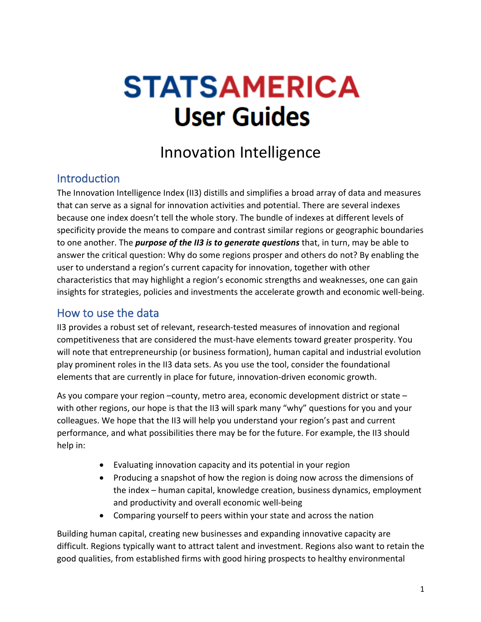# **STATSAMERICA User Guides**

## Innovation Intelligence

## **Introduction**

The Innovation Intelligence Index (II3) distills and simplifies a broad array of data and measures that can serve as a signal for innovation activities and potential. There are several indexes because one index doesn't tell the whole story. The bundle of indexes at different levels of specificity provide the means to compare and contrast similar regions or geographic boundaries to one another. The *purpose of the II3 is to generate questions* that, in turn, may be able to answer the critical question: Why do some regions prosper and others do not? By enabling the user to understand a region's current capacity for innovation, together with other characteristics that may highlight a region's economic strengths and weaknesses, one can gain insights for strategies, policies and investments the accelerate growth and economic well-being.

#### How to use the data

II3 provides a robust set of relevant, research-tested measures of innovation and regional competitiveness that are considered the must-have elements toward greater prosperity. You will note that entrepreneurship (or business formation), human capital and industrial evolution play prominent roles in the II3 data sets. As you use the tool, consider the foundational elements that are currently in place for future, innovation-driven economic growth.

As you compare your region –county, metro area, economic development district or state – with other regions, our hope is that the II3 will spark many "why" questions for you and your colleagues. We hope that the II3 will help you understand your region's past and current performance, and what possibilities there may be for the future. For example, the II3 should help in:

- Evaluating innovation capacity and its potential in your region
- Producing a snapshot of how the region is doing now across the dimensions of the index – human capital, knowledge creation, business dynamics, employment and productivity and overall economic well-being
- Comparing yourself to peers within your state and across the nation

Building human capital, creating new businesses and expanding innovative capacity are difficult. Regions typically want to attract talent and investment. Regions also want to retain the good qualities, from established firms with good hiring prospects to healthy environmental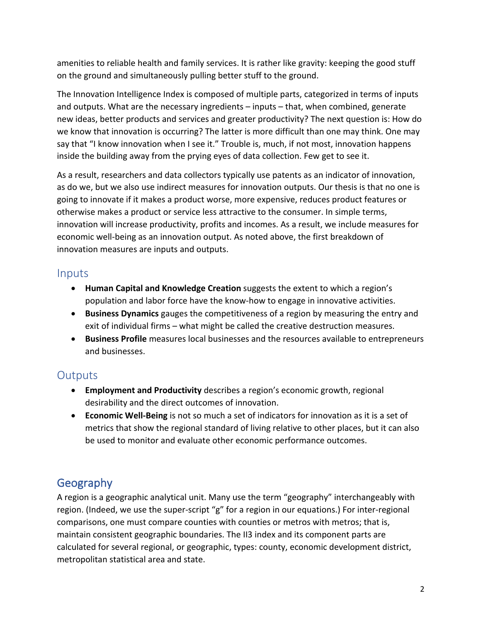amenities to reliable health and family services. It is rather like gravity: keeping the good stuff on the ground and simultaneously pulling better stuff to the ground.

The Innovation Intelligence Index is composed of multiple parts, categorized in terms of inputs and outputs. What are the necessary ingredients – inputs – that, when combined, generate new ideas, better products and services and greater productivity? The next question is: How do we know that innovation is occurring? The latter is more difficult than one may think. One may say that "I know innovation when I see it." Trouble is, much, if not most, innovation happens inside the building away from the prying eyes of data collection. Few get to see it.

As a result, researchers and data collectors typically use patents as an indicator of innovation, as do we, but we also use indirect measures for innovation outputs. Our thesis is that no one is going to innovate if it makes a product worse, more expensive, reduces product features or otherwise makes a product or service less attractive to the consumer. In simple terms, innovation will increase productivity, profits and incomes. As a result, we include measures for economic well-being as an innovation output. As noted above, the first breakdown of innovation measures are inputs and outputs.

#### Inputs

- **Human Capital and Knowledge Creation** suggests the extent to which a region's population and labor force have the know-how to engage in innovative activities.
- **Business Dynamics** gauges the competitiveness of a region by measuring the entry and exit of individual firms – what might be called the creative destruction measures.
- **Business Profile** measures local businesses and the resources available to entrepreneurs and businesses.

## **Outputs**

- **Employment and Productivity** describes a region's economic growth, regional desirability and the direct outcomes of innovation.
- **Economic Well-Being** is not so much a set of indicators for innovation as it is a set of metrics that show the regional standard of living relative to other places, but it can also be used to monitor and evaluate other economic performance outcomes.

## Geography

A region is a geographic analytical unit. Many use the term "geography" interchangeably with region. (Indeed, we use the super-script "g" for a region in our equations.) For inter-regional comparisons, one must compare counties with counties or metros with metros; that is, maintain consistent geographic boundaries. The II3 index and its component parts are calculated for several regional, or geographic, types: county, economic development district, metropolitan statistical area and state.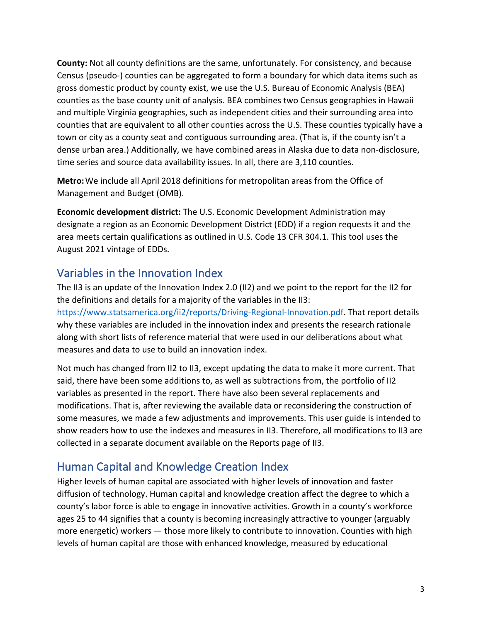**County:** Not all county definitions are the same, unfortunately. For consistency, and because Census (pseudo-) counties can be aggregated to form a boundary for which data items such as gross domestic product by county exist, we use the U.S. Bureau of Economic Analysis (BEA) counties as the base county unit of analysis. BEA combines two Census geographies in Hawaii and multiple Virginia geographies, such as independent cities and their surrounding area into counties that are equivalent to all other counties across the U.S. These counties typically have a town or city as a county seat and contiguous surrounding area. (That is, if the county isn't a dense urban area.) Additionally, we have combined areas in Alaska due to data non-disclosure, time series and source data availability issues. In all, there are 3,110 counties.

**Metro:**We include all April 2018 definitions for metropolitan areas from the Office of Management and Budget (OMB).

**Economic development district:** The U.S. Economic Development Administration may designate a region as an Economic Development District (EDD) if a region requests it and the area meets certain qualifications as outlined in U.S. Code 13 CFR 304.1. This tool uses the August 2021 vintage of EDDs.

## Variables in the Innovation Index

The II3 is an update of the Innovation Index 2.0 (II2) and we point to the report for the II2 for the definitions and details for a majority of the variables in the II3: https://www.statsamerica.org/ii2/reports/Driving-Regional-Innovation.pdf. That report details why these variables are included in the innovation index and presents the research rationale along with short lists of reference material that were used in our deliberations about what measures and data to use to build an innovation index.

Not much has changed from II2 to II3, except updating the data to make it more current. That said, there have been some additions to, as well as subtractions from, the portfolio of II2 variables as presented in the report. There have also been several replacements and modifications. That is, after reviewing the available data or reconsidering the construction of some measures, we made a few adjustments and improvements. This user guide is intended to show readers how to use the indexes and measures in II3. Therefore, all modifications to II3 are collected in a separate document available on the Reports page of II3.

## Human Capital and Knowledge Creation Index

Higher levels of human capital are associated with higher levels of innovation and faster diffusion of technology. Human capital and knowledge creation affect the degree to which a county's labor force is able to engage in innovative activities. Growth in a county's workforce ages 25 to 44 signifies that a county is becoming increasingly attractive to younger (arguably more energetic) workers — those more likely to contribute to innovation. Counties with high levels of human capital are those with enhanced knowledge, measured by educational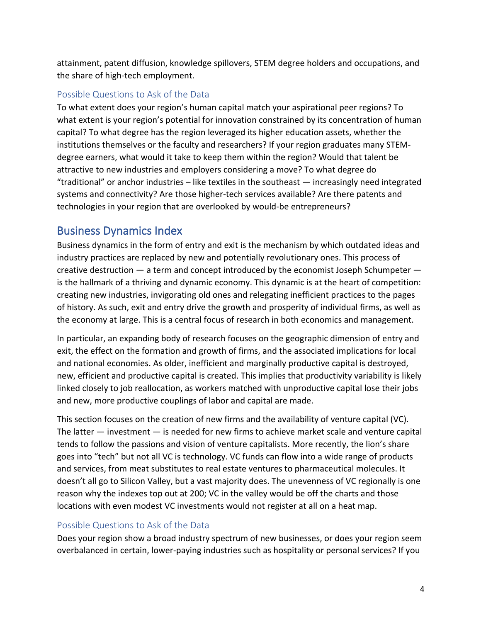attainment, patent diffusion, knowledge spillovers, STEM degree holders and occupations, and the share of high-tech employment.

#### Possible Questions to Ask of the Data

To what extent does your region's human capital match your aspirational peer regions? To what extent is your region's potential for innovation constrained by its concentration of human capital? To what degree has the region leveraged its higher education assets, whether the institutions themselves or the faculty and researchers? If your region graduates many STEMdegree earners, what would it take to keep them within the region? Would that talent be attractive to new industries and employers considering a move? To what degree do "traditional" or anchor industries – like textiles in the southeast — increasingly need integrated systems and connectivity? Are those higher-tech services available? Are there patents and technologies in your region that are overlooked by would-be entrepreneurs?

## Business Dynamics Index

Business dynamics in the form of entry and exit is the mechanism by which outdated ideas and industry practices are replaced by new and potentially revolutionary ones. This process of creative destruction — a term and concept introduced by the economist Joseph Schumpeter is the hallmark of a thriving and dynamic economy. This dynamic is at the heart of competition: creating new industries, invigorating old ones and relegating inefficient practices to the pages of history. As such, exit and entry drive the growth and prosperity of individual firms, as well as the economy at large. This is a central focus of research in both economics and management.

In particular, an expanding body of research focuses on the geographic dimension of entry and exit, the effect on the formation and growth of firms, and the associated implications for local and national economies. As older, inefficient and marginally productive capital is destroyed, new, efficient and productive capital is created. This implies that productivity variability is likely linked closely to job reallocation, as workers matched with unproductive capital lose their jobs and new, more productive couplings of labor and capital are made.

This section focuses on the creation of new firms and the availability of venture capital (VC). The latter — investment — is needed for new firms to achieve market scale and venture capital tends to follow the passions and vision of venture capitalists. More recently, the lion's share goes into "tech" but not all VC is technology. VC funds can flow into a wide range of products and services, from meat substitutes to real estate ventures to pharmaceutical molecules. It doesn't all go to Silicon Valley, but a vast majority does. The unevenness of VC regionally is one reason why the indexes top out at 200; VC in the valley would be off the charts and those locations with even modest VC investments would not register at all on a heat map.

#### Possible Questions to Ask of the Data

Does your region show a broad industry spectrum of new businesses, or does your region seem overbalanced in certain, lower-paying industries such as hospitality or personal services? If you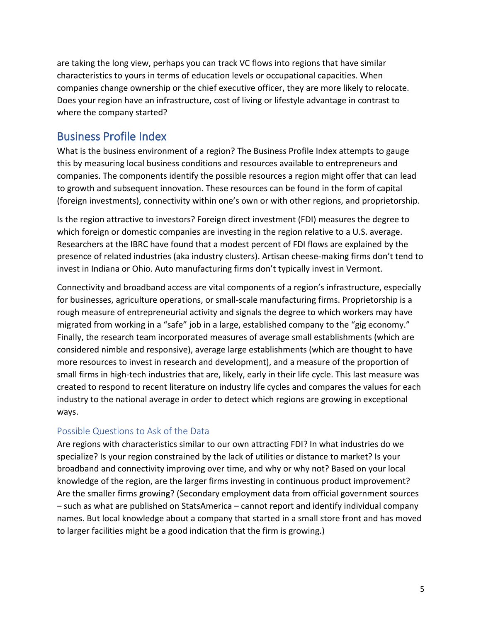are taking the long view, perhaps you can track VC flows into regions that have similar characteristics to yours in terms of education levels or occupational capacities. When companies change ownership or the chief executive officer, they are more likely to relocate. Does your region have an infrastructure, cost of living or lifestyle advantage in contrast to where the company started?

### Business Profile Index

What is the business environment of a region? The Business Profile Index attempts to gauge this by measuring local business conditions and resources available to entrepreneurs and companies. The components identify the possible resources a region might offer that can lead to growth and subsequent innovation. These resources can be found in the form of capital (foreign investments), connectivity within one's own or with other regions, and proprietorship.

Is the region attractive to investors? Foreign direct investment (FDI) measures the degree to which foreign or domestic companies are investing in the region relative to a U.S. average. Researchers at the IBRC have found that a modest percent of FDI flows are explained by the presence of related industries (aka industry clusters). Artisan cheese-making firms don't tend to invest in Indiana or Ohio. Auto manufacturing firms don't typically invest in Vermont.

Connectivity and broadband access are vital components of a region's infrastructure, especially for businesses, agriculture operations, or small-scale manufacturing firms. Proprietorship is a rough measure of entrepreneurial activity and signals the degree to which workers may have migrated from working in a "safe" job in a large, established company to the "gig economy." Finally, the research team incorporated measures of average small establishments (which are considered nimble and responsive), average large establishments (which are thought to have more resources to invest in research and development), and a measure of the proportion of small firms in high-tech industries that are, likely, early in their life cycle. This last measure was created to respond to recent literature on industry life cycles and compares the values for each industry to the national average in order to detect which regions are growing in exceptional ways.

#### Possible Questions to Ask of the Data

Are regions with characteristics similar to our own attracting FDI? In what industries do we specialize? Is your region constrained by the lack of utilities or distance to market? Is your broadband and connectivity improving over time, and why or why not? Based on your local knowledge of the region, are the larger firms investing in continuous product improvement? Are the smaller firms growing? (Secondary employment data from official government sources – such as what are published on StatsAmerica – cannot report and identify individual company names. But local knowledge about a company that started in a small store front and has moved to larger facilities might be a good indication that the firm is growing.)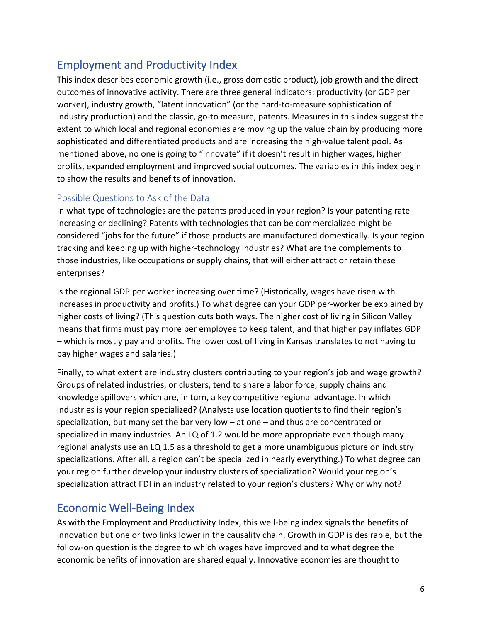## Employment and Productivity Index

This index describes economic growth (i.e., gross domestic product), job growth and the direct outcomes of innovative activity. There are three general indicators: productivity (or GDP per worker), industry growth, "latent innovation" (or the hard-to-measure sophistication of industry production) and the classic, go-to measure, patents. Measures in this index suggest the extent to which local and regional economies are moving up the value chain by producing more sophisticated and differentiated products and are increasing the high-value talent pool. As mentioned above, no one is going to "innovate" if it doesn't result in higher wages, higher profits, expanded employment and improved social outcomes. The variables in this index begin to show the results and benefits of innovation.

#### Possible Questions to Ask of the Data

In what type of technologies are the patents produced in your region? Is your patenting rate increasing or declining? Patents with technologies that can be commercialized might be considered "jobs for the future" if those products are manufactured domestically. Is your region tracking and keeping up with higher-technology industries? What are the complements to those industries, like occupations or supply chains, that will either attract or retain these enterprises?

Is the regional GDP per worker increasing over time? (Historically, wages have risen with increases in productivity and profits.) To what degree can your GDP per-worker be explained by higher costs of living? (This question cuts both ways. The higher cost of living in Silicon Valley means that firms must pay more per employee to keep talent, and that higher pay inflates GDP – which is mostly pay and profits. The lower cost of living in Kansas translates to not having to pay higher wages and salaries.)

Finally, to what extent are industry clusters contributing to your region's job and wage growth? Groups of related industries, or clusters, tend to share a labor force, supply chains and knowledge spillovers which are, in turn, a key competitive regional advantage. In which industries is your region specialized? (Analysts use location quotients to find their region's specialization, but many set the bar very low – at one – and thus are concentrated or specialized in many industries. An LQ of 1.2 would be more appropriate even though many regional analysts use an LQ 1.5 as a threshold to get a more unambiguous picture on industry specializations. After all, a region can't be specialized in nearly everything.) To what degree can your region further develop your industry clusters of specialization? Would your region's specialization attract FDI in an industry related to your region's clusters? Why or why not?

## Economic Well-Being Index

As with the Employment and Productivity Index, this well-being index signals the benefits of innovation but one or two links lower in the causality chain. Growth in GDP is desirable, but the follow-on question is the degree to which wages have improved and to what degree the economic benefits of innovation are shared equally. Innovative economies are thought to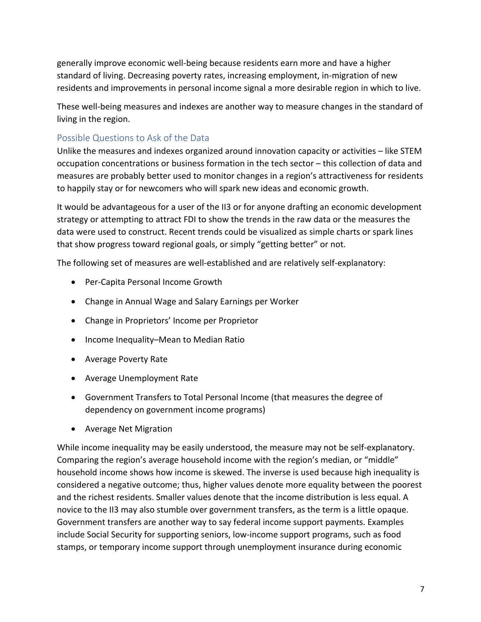generally improve economic well-being because residents earn more and have a higher standard of living. Decreasing poverty rates, increasing employment, in-migration of new residents and improvements in personal income signal a more desirable region in which to live.

These well-being measures and indexes are another way to measure changes in the standard of living in the region.

#### Possible Questions to Ask of the Data

Unlike the measures and indexes organized around innovation capacity or activities – like STEM occupation concentrations or business formation in the tech sector – this collection of data and measures are probably better used to monitor changes in a region's attractiveness for residents to happily stay or for newcomers who will spark new ideas and economic growth.

It would be advantageous for a user of the II3 or for anyone drafting an economic development strategy or attempting to attract FDI to show the trends in the raw data or the measures the data were used to construct. Recent trends could be visualized as simple charts or spark lines that show progress toward regional goals, or simply "getting better" or not.

The following set of measures are well-established and are relatively self-explanatory:

- Per-Capita Personal Income Growth
- Change in Annual Wage and Salary Earnings per Worker
- Change in Proprietors' Income per Proprietor
- Income Inequality–Mean to Median Ratio
- Average Poverty Rate
- Average Unemployment Rate
- Government Transfers to Total Personal Income (that measures the degree of dependency on government income programs)
- Average Net Migration

While income inequality may be easily understood, the measure may not be self-explanatory. Comparing the region's average household income with the region's median, or "middle" household income shows how income is skewed. The inverse is used because high inequality is considered a negative outcome; thus, higher values denote more equality between the poorest and the richest residents. Smaller values denote that the income distribution is less equal. A novice to the II3 may also stumble over government transfers, as the term is a little opaque. Government transfers are another way to say federal income support payments. Examples include Social Security for supporting seniors, low-income support programs, such as food stamps, or temporary income support through unemployment insurance during economic